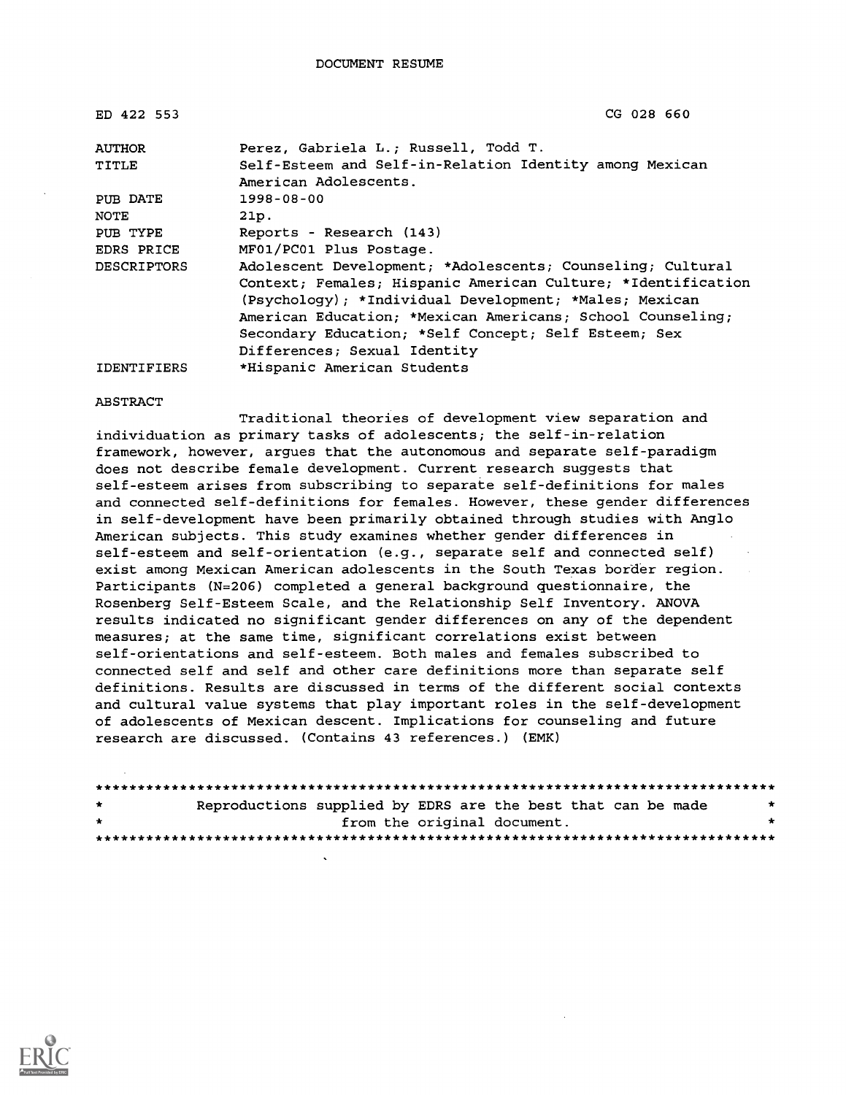| ED 422 553         | CG 028 660                                                                                                                                                                                                                                                                                                                                 |
|--------------------|--------------------------------------------------------------------------------------------------------------------------------------------------------------------------------------------------------------------------------------------------------------------------------------------------------------------------------------------|
| <b>AUTHOR</b>      | Perez, Gabriela L.; Russell, Todd T.                                                                                                                                                                                                                                                                                                       |
| TITLE              | Self-Esteem and Self-in-Relation Identity among Mexican<br>American Adolescents.                                                                                                                                                                                                                                                           |
| PUB DATE           | $1998 - 08 - 00$                                                                                                                                                                                                                                                                                                                           |
| NOTE               | 21p.                                                                                                                                                                                                                                                                                                                                       |
| PUB TYPE           | Reports - Research (143)                                                                                                                                                                                                                                                                                                                   |
| EDRS PRICE         | MF01/PC01 Plus Postage.                                                                                                                                                                                                                                                                                                                    |
| <b>DESCRIPTORS</b> | Adolescent Development; *Adolescents; Counseling; Cultural<br>Context; Females; Hispanic American Culture; *Identification<br>(Psychology); *Individual Development; *Males; Mexican<br>American Education; *Mexican Americans; School Counseling;<br>Secondary Education; *Self Concept; Self Esteem; Sex<br>Differences; Sexual Identity |
| <b>IDENTIFIERS</b> | *Hispanic American Students                                                                                                                                                                                                                                                                                                                |

#### ABSTRACT

Traditional theories of development view separation and individuation as primary tasks of adolescents; the self-in-relation framework, however, argues that the autonomous and separate self-paradigm does not describe female development. Current research suggests that self-esteem arises from subscribing to separate self-definitions for males and connected self-definitions for females. However, these gender differences in self-development have been primarily obtained through studies with Anglo American subjects. This study examines whether gender differences in self-esteem and self-orientation (e.g., separate self and connected self) exist among Mexican American adolescents in the South Texas border region. Participants (N=206) completed a general background questionnaire, the Rosenberg Self-Esteem Scale, and the Relationship Self Inventory. ANOVA results indicated no significant gender differences on any of the dependent measures; at the same time, significant correlations exist between self-orientations and self-esteem. Both males and females subscribed to connected self and self and other care definitions more than separate self definitions. Results are discussed in terms of the different social contexts and cultural value systems that play important roles in the self-development of adolescents of Mexican descent. Implications for counseling and future research are discussed. (Contains 43 references.) (EMK)

| $\star$ | Reproductions supplied by EDRS are the best that can be made |                             |  |  | $\star$ |
|---------|--------------------------------------------------------------|-----------------------------|--|--|---------|
| $\star$ |                                                              | from the original document. |  |  | ÷       |
|         |                                                              |                             |  |  |         |

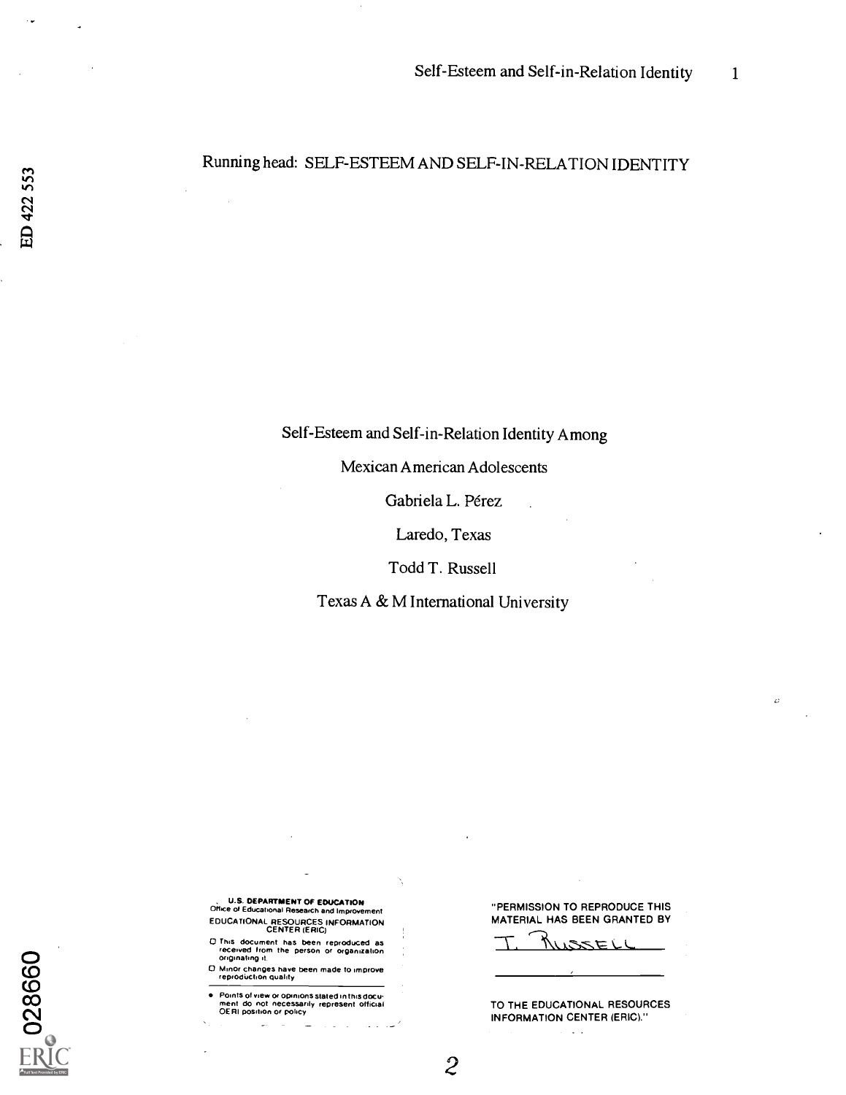### Running head: SELF-ESTEEM AND SELF-IN-RELATION IDENTITY

Self-Esteem and Self-in-Relation Identity Among

Mexican American Adolescents

Gabriela L. Pérez

Laredo, Texas

Todd T. Russell

Texas A & M International University

 $\mathcal{Z}$ 

**U.S. DEPARTMENT OF EDUCATION OF EXAMPLE OF EDUCATION**<br>Office of Educational Research and Improvement EDUCATIONAL RESOURCES INFORMATION CENTER (ERIC)

 $O$  This document has been reproduced as<br>received from the person or organization<br> $O$  organization  $O$  originating it.

(C) 0 Minor changes have been made to improve recnodirction quality

Cycle of the person of organization<br>
Cymrathog it<br>
Cymrathog it<br>
Cymrathog is a persodiction quality<br>
Points of view or opinions stated in this docu-<br>
ment do not necessarily represent official<br>
OERI position or policy<br>
CH  $\sum_{\text{C}}^{\text{OER1 position or policy}}$ 

 $\overline{C}$ 

"PERMISSION TO REPRODUCE THIS MATERIAL HAS BEEN GRANTED BY

 $\epsilon$ 

<u>USZELI</u>

TO THE EDUCATIONAL RESOURCES INFORMATION CENTER (ERIC)." $\mathbf{r}=\mathbf{r}$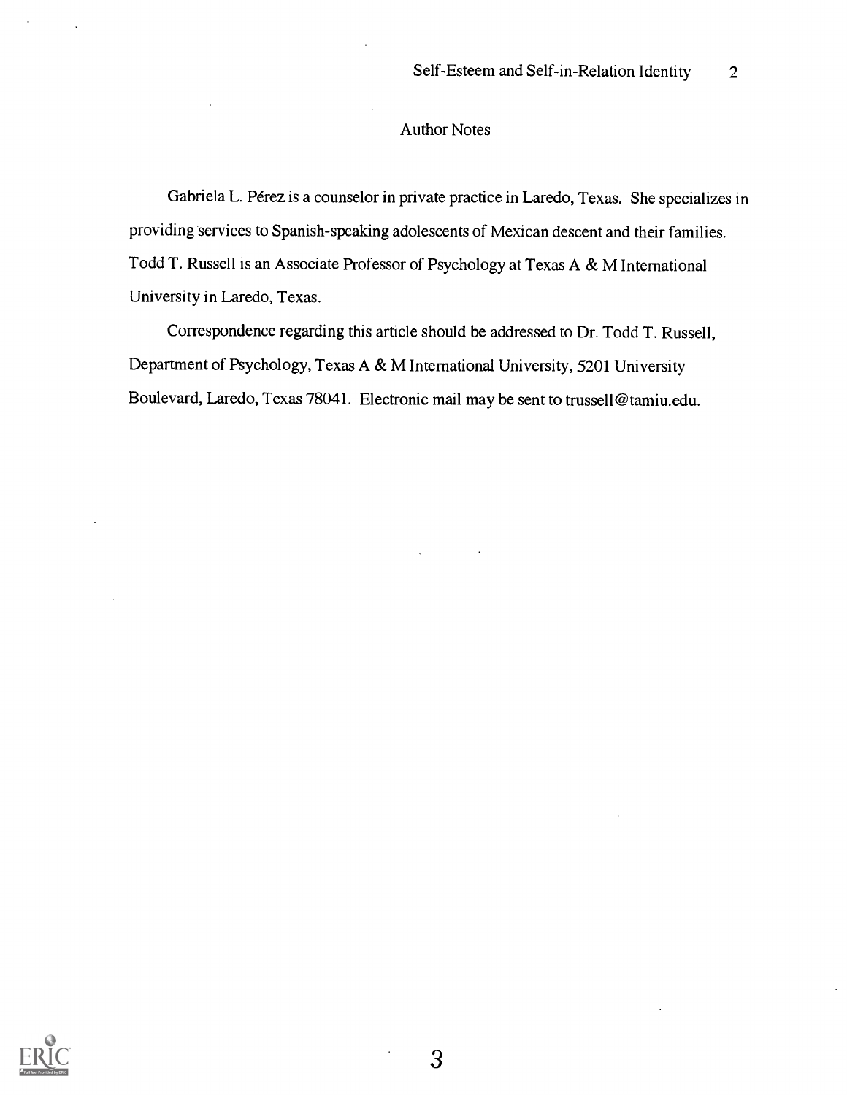#### Author Notes

Gabriela L. Perez is a counselor in private practice in Laredo, Texas. She specializes in providing services to Spanish-speaking adolescents of Mexican descent and their families. Todd T. Russell is an Associate Professor of Psychology at Texas A & M International University in Laredo, Texas.

Correspondence regarding this article should be addressed to Dr. Todd T. Russell, Department of Psychology, Texas A & M International University, 5201 University Boulevard, Laredo, Texas 78041. Electronic mail may be sent to trussell@tamiu.edu.

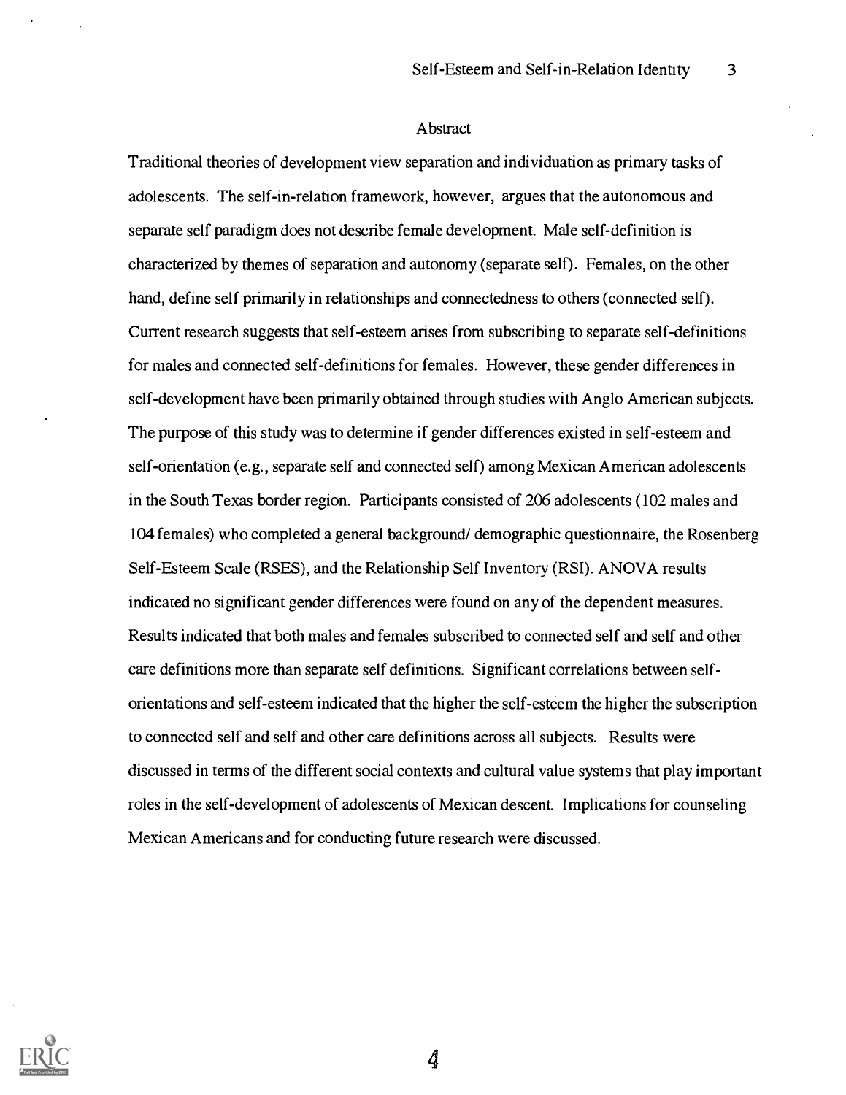#### Abstract

Traditional theories of development view separation and individuation as primary tasks of adolescents. The self-in-relation framework, however, argues that the autonomous and separate self paradigm does not describe female development. Male self-definition is characterized by themes of separation and autonomy (separate self). Females, on the other hand, define self primarily in relationships and connectedness to others (connected self). Current research suggests that self-esteem arises from subscribing to separate self-definitions for males and connected self-definitions for females. However, these gender differences in self-development have been primarily obtained through studies with Anglo American subjects. The purpose of this study was to determine if gender differences existed in self-esteem and self-orientation (e.g., separate self and connected self) among Mexican American adolescents in the South Texas border region. Participants consisted of 206 adolescents (102 males and 104 females) who completed a general background/ demographic questionnaire, the Rosenberg Self-Esteem Scale (RSES), and the Relationship Self Inventory (RSI). ANOVA results indicated no significant gender differences were found on any of the dependent measures. Results indicated that both males and females subscribed to connected self and self and other care definitions more than separate self definitions. Significant correlations between selforientations and self-esteem indicated that the higher the self-esteem the higher the subscription to connected self and self and other care definitions across all subjects. Results were discussed in terms of the different social contexts and cultural value systems that play important roles in the self-development of adolescents of Mexican descent. Implications for counseling Mexican Americans and for conducting future research were discussed.

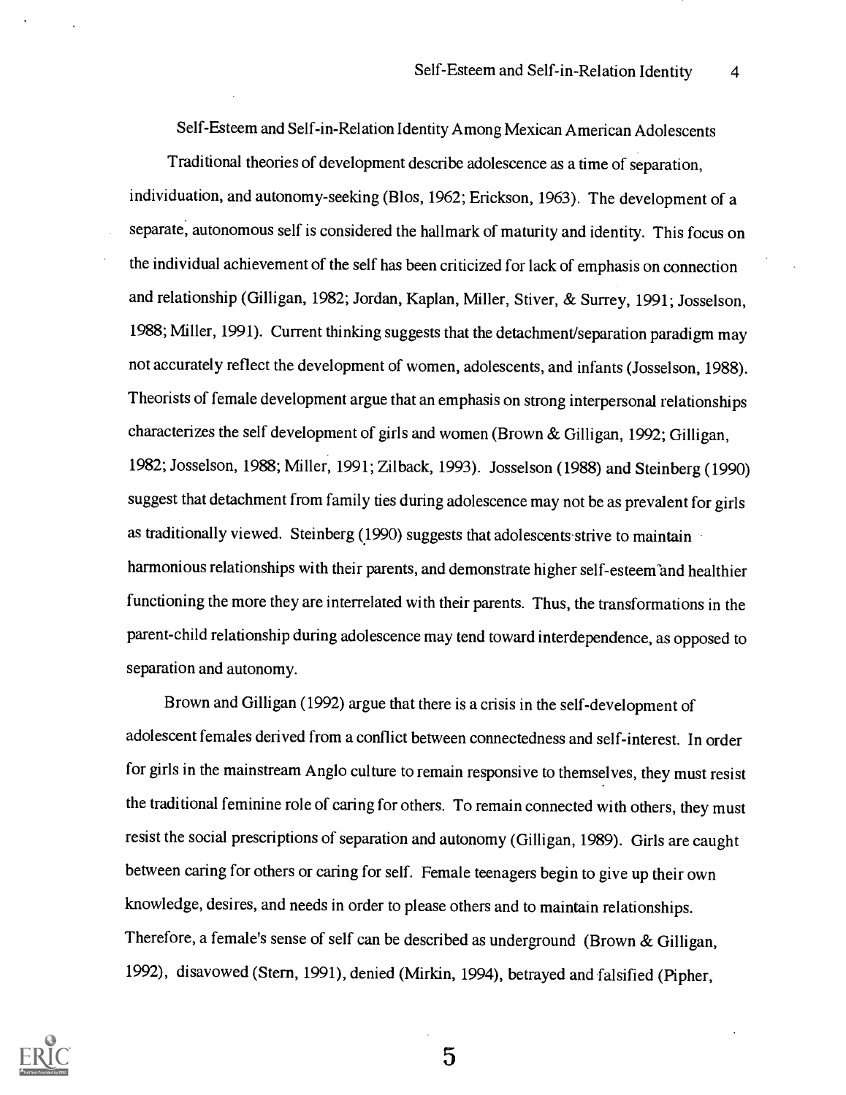Self-Esteem and Self-in-Relation Identity Among Mexican American Adolescents

Traditional theories of development describe adolescence as a time of separation, individuation, and autonomy-seeking (Blos, 1962; Erickson, 1963). The development of a separate, autonomous self is considered the hallmark of maturity and identity. This focus on the individual achievement of the self has been criticized for lack of emphasis on connection and relationship (Gilligan, 1982; Jordan, Kaplan, Miller, Stiver, & Surrey, 1991; Josselson, 1988; Miller, 1991). Current thinking suggests that the detachment/separation paradigm may not accurately reflect the development of women, adolescents, and infants (Josselson, 1988). Theorists of female development argue that an emphasis on strong interpersonal relationships characterizes the self development of girls and women (Brown & Gilligan, 1992; Gilligan, 1982; Josselson, 1988; Miller, 1991; Zilback, 1993). Josselson (1988) and Steinberg (1990) suggest that detachment from family ties during adolescence may not be as prevalent for girls as traditionally viewed. Steinberg  $(1990)$  suggests that adolescents strive to maintain harmonious relationships with their parents, and demonstrate higher self-esteem and healthier functioning the more they are interrelated with their parents. Thus, the transformations in the parent-child relationship during adolescence may tend toward interdependence, as opposed to separation and autonomy.

Brown and Gilligan (1992) argue that there is a crisis in the self-development of adolescent females derived from a conflict between connectedness and self-interest. In order for girls in the mainstream Anglo culture to remain responsive to themselves, they must resist the traditional feminine role of caring for others. To remain connected with others, they must resist the social prescriptions of separation and autonomy (Gilligan, 1989). Girls are caught between caring for others or caring for self. Female teenagers begin to give up their own knowledge, desires, and needs in order to please others and to maintain relationships. Therefore, a female's sense of self can be described as underground (Brown & Gilligan, 1992), disavowed (Stern, 1991), denied (Mirkin, 1994), betrayed and falsified (Pipher,

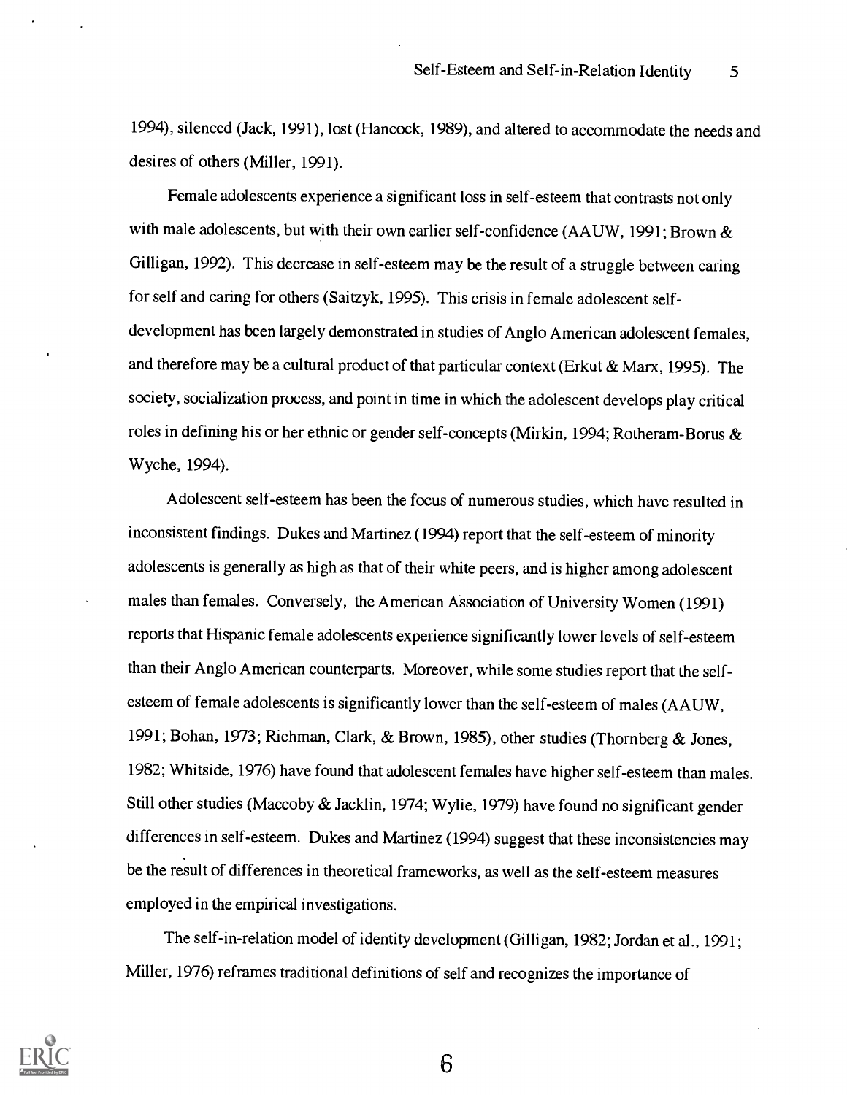1994), silenced (Jack, 1991), lost (Hancock, 1989), and altered to accommodate the needs and desires of others (Miller, 1991).

Female adolescents experience a significant loss in self-esteem that contrasts not only with male adolescents, but with their own earlier self-confidence (AAUW, 1991; Brown & Gilligan, 1992). This decrease in self-esteem may be the result of a struggle between caring for self and caring for others (Saitzyk, 1995). This crisis in female adolescent selfdevelopment has been largely demonstrated in studies of Anglo American adolescent females, and therefore may be a cultural product of that particular context (Erkut & Marx, 1995). The society, socialization process, and point in time in which the adolescent develops play critical roles in defining his or her ethnic or gender self-concepts (Mirkin, 1994; Rotheram-Borus & Wyche, 1994).

Adolescent self-esteem has been the focus of numerous studies, which have resulted in inconsistent findings. Dukes and Martinez (1994) report that the self-esteem of minority adolescents is generally as high as that of their white peers, and is higher among adolescent males than females. Conversely, the American Association of University Women (1991) reports that Hispanic female adolescents experience significantly lower levels of self-esteem than their Anglo American counterparts. Moreover, while some studies report that the selfesteem of female adolescents is significantly lower than the self-esteem of males (AAUW, 1991; Bohan, 1973; Richman, Clark, & Brown, 1985), other studies (Thornberg & Jones, 1982; Whitside, 1976) have found that adolescent females have higher self-esteem than males. Still other studies (Maccoby & Jacklin, 1974; Wylie, 1979) have found no significant gender differences in self-esteem. Dukes and Martinez (1994) suggest that these inconsistencies may be the result of differences in theoretical frameworks, as well as the self-esteem measures employed in the empirical investigations.

The self-in-relation model of identity development (Gilligan, 1982; Jordan et al., 1991; Miller, 1976) reframes traditional definitions of self and recognizes the importance of

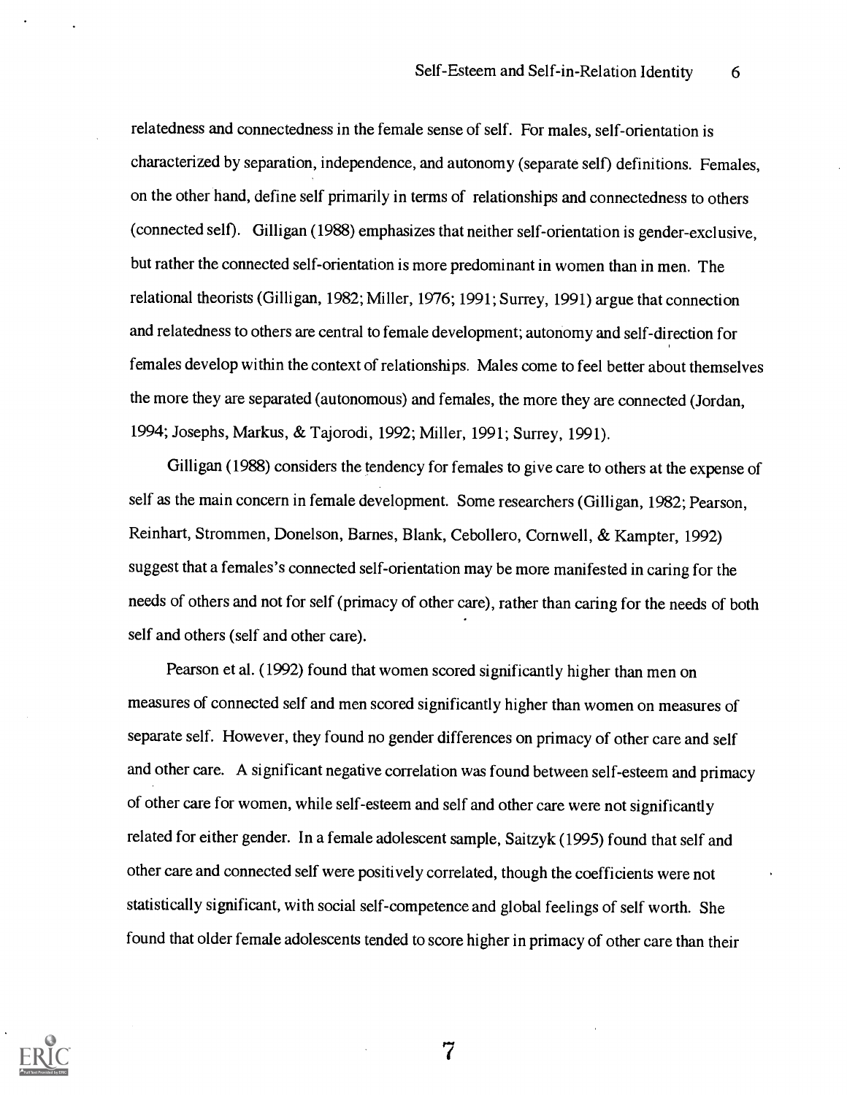relatedness and connectedness in the female sense of self. For males, self-orientation is characterized by separation, independence, and autonomy (separate self) definitions. Females, on the other hand, define self primarily in terms of relationships and connectedness to others (connected self). Gilligan (1988) emphasizes that neither self-orientation is gender-exclusive, but rather the connected self-orientation is more predominant in women than in men. The relational theorists (Gilligan, 1982; Miller, 1976; 1991; Surrey, 1991) argue that connection and relatedness to others are central to female development; autonomy and self-direction for females develop within the context of relationships. Males come to feel better about themselves the more they are separated (autonomous) and females, the more they are connected (Jordan, 1994; Josephs, Markus, & Tajorodi, 1992; Miller, 1991; Surrey, 1991).

Gilligan (1988) considers the tendency for females to give care to others at the expense of self as the main concern in female development. Some researchers (Gilligan, 1982; Pearson, Reinhart, Strommen, Donelson, Barnes, Blank, Cebollero, Cornwell, & Kampter, 1992) suggest that a females's connected self-orientation may be more manifested in caring for the needs of others and not for self (primacy of other care), rather than caring for the needs of both self and others (self and other care).

Pearson et al. (1992) found that women scored significantly higher than men on measures of connected self and men scored significantly higher than women on measures of separate self. However, they found no gender differences on primacy of other care and self and other care. A significant negative correlation was found between self-esteem and primacy of other care for women, while self-esteem and self and other care were not significantly related for either gender. In a female adolescent sample, Saitzyk (1995) found that self and other care and connected self were positively correlated, though the coefficients were not statistically significant, with social self-competence and global feelings of self worth. She found that older female adolescents tended to score higher in primacy of other care than their

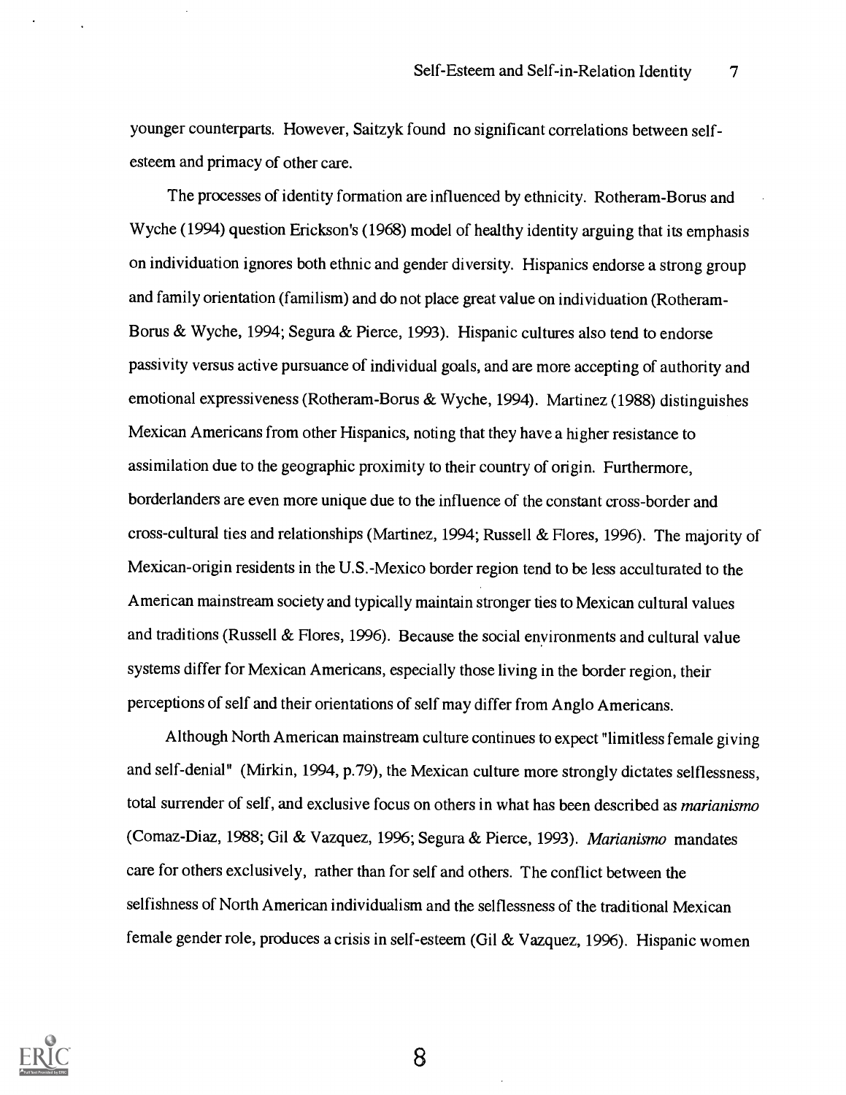younger counterparts. However, Saitzyk found no significant correlations between selfesteem and primacy of other care.

The processes of identity formation are influenced by ethnicity. Rotheram-Borus and Wyche (1994) question Erickson's (1968) model of healthy identity arguing that its emphasis on individuation ignores both ethnic and gender diversity. Hispanics endorse a strong group and family orientation (familism) and do not place great value on individuation (Rotheram-Borus & Wyche, 1994; Segura & Pierce, 1993). Hispanic cultures also tend to endorse passivity versus active pursuance of individual goals, and are more accepting of authority and emotional expressiveness (Rotheram-Borus & Wyche, 1994). Martinez (1988) distinguishes Mexican Americans from other Hispanics, noting that they have a higher resistance to assimilation due to the geographic proximity to their country of origin. Furthermore, borderlanders are even more unique due to the influence of the constant cross-border and cross-cultural ties and relationships (Martinez, 1994; Russell & Flores, 1996). The majority of Mexican-origin residents in the U.S.-Mexico border region tend to be less acculturated to the American mainstream society and typically maintain stronger ties to Mexican cultural values and traditions (Russell & Hores, 1996). Because the social environments and cultural value systems differ for Mexican Americans, especially those living in the border region, their perceptions of self and their orientations of self may differ from Anglo Americans.

Although North American mainstream culture continues to expect "limitless female giving and self-denial" (Mirkin, 1994, p.79), the Mexican culture more strongly dictates selflessness, total surrender of self, and exclusive focus on others in what has been described as marianismo (Comaz-Diaz, 1988; Gil & Vazquez, 1996; Segura & Pierce, 1993). Marianismo mandates care for others exclusively, rather than for self and others. The conflict between the selfishness of North American individualism and the selflessness of the traditional Mexican female gender role, produces a crisis in self-esteem (Gil & Vazquez, 1996). Hispanic women

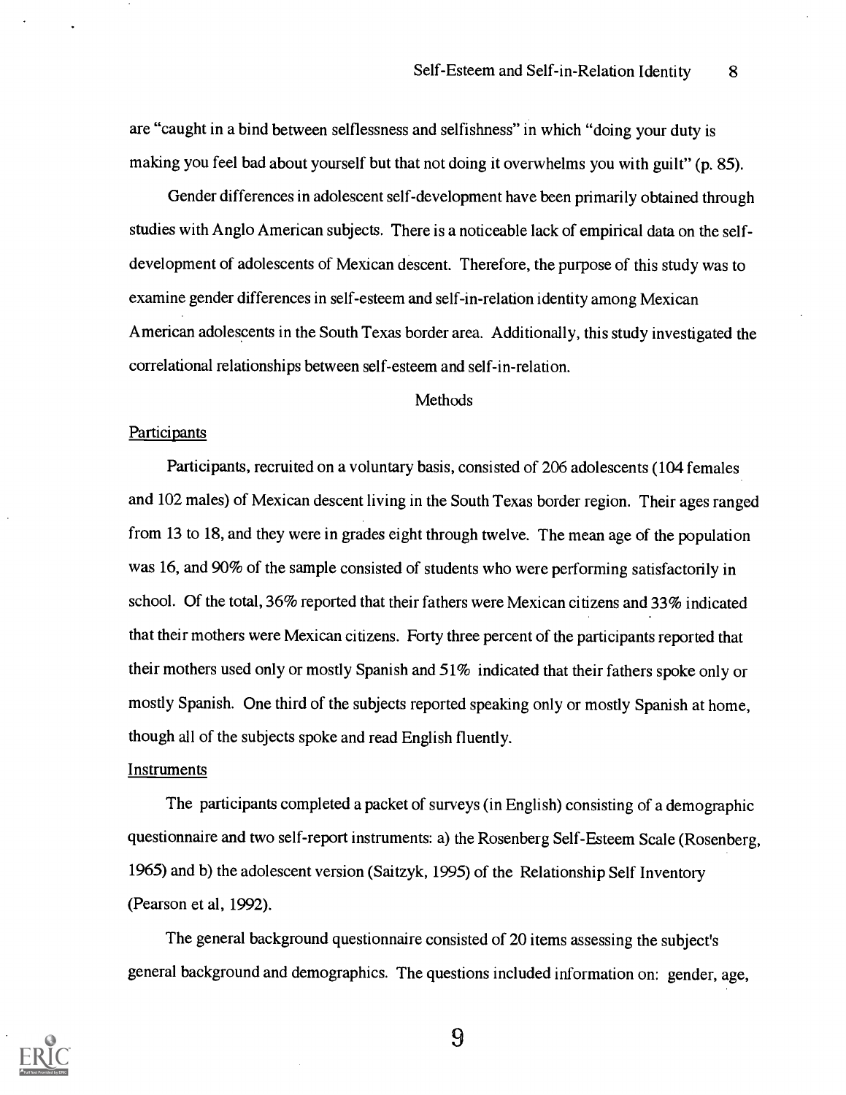are "caught in a bind between selflessness and selfishness" in which "doing your duty is making you feel bad about yourself but that not doing it overwhelms you with guilt" (p. 85).

Gender differences in adolescent self-development have been primarily obtained through studies with Anglo American subjects. There is a noticeable lack of empirical data on the selfdevelopment of adolescents of Mexican descent. Therefore, the purpose of this study was to examine gender differences in self-esteem and self-in-relation identity among Mexican American adolescents in the South Texas border area. Additionally, this study investigated the correlational relationships between self-esteem and self-in-relation.

#### Methods

#### **Participants**

Participants, recruited on a voluntary basis, consisted of 206 adolescents (104 females and 102 males) of Mexican descent living in the South Texas border region. Their ages ranged from 13 to 18, and they were in grades eight through twelve. The mean age of the population was 16, and 90% of the sample consisted of students who were performing satisfactorily in school. Of the total, 36% reported that their fathers were Mexican citizens and 33% indicated that their mothers were Mexican citizens. Forty three percent of the participants reported that their mothers used only or mostly Spanish and 51% indicated that their fathers spoke only or mostly Spanish. One third of the subjects reported speaking only or mostly Spanish at home, though all of the subjects spoke and read English fluently.

#### **Instruments**

The participants completed a packet of surveys (in English) consisting of a demographic questionnaire and two self-report instruments: a) the Rosenberg Self-Esteem Scale (Rosenberg, 1965) and b) the adolescent version (Saitzyk, 1995) of the Relationship Self Inventory (Pearson et al, 1992).

The general background questionnaire consisted of 20 items assessing the subject's general background and demographics. The questions included information on: gender, age,

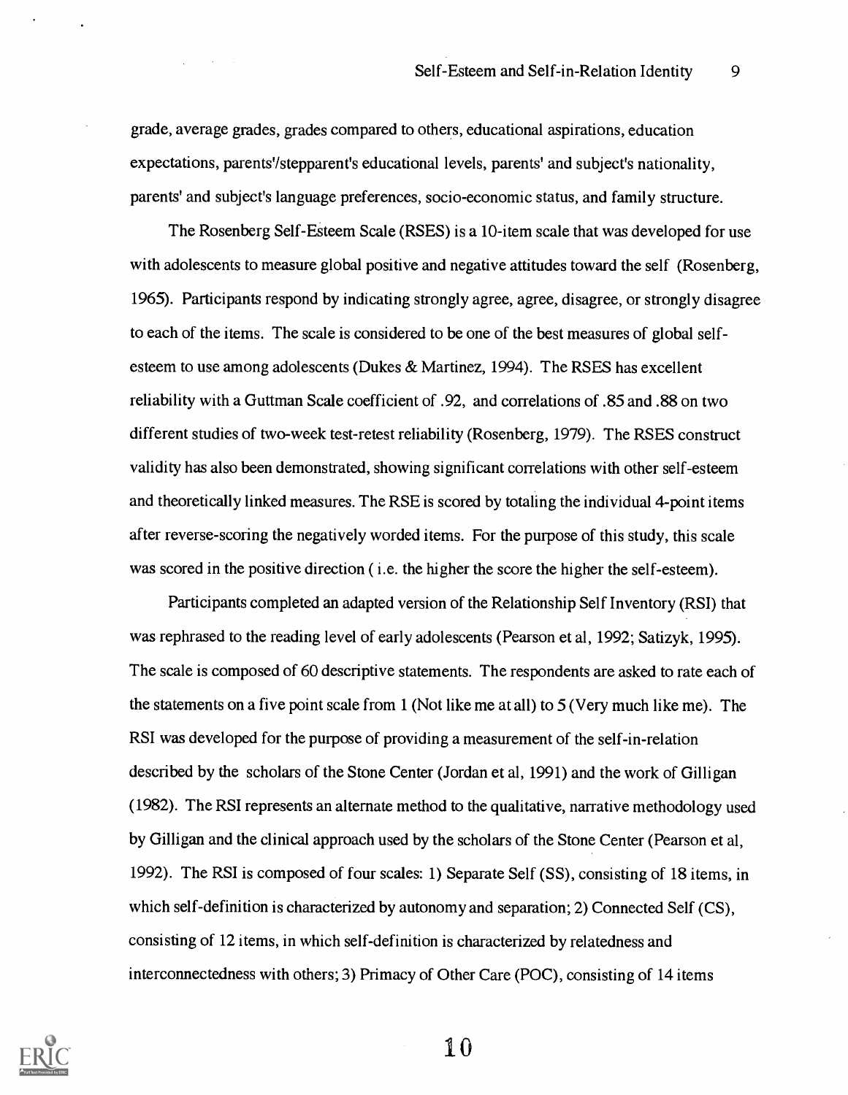grade, average grades, grades compared to others, educational aspirations, education expectations, parents'/stepparent's educational levels, parents' and subject's nationality, parents' and subject's language preferences, socio-economic status, and family structure.

 $\alpha$  and  $\alpha$ 

The Rosenberg Self-Esteem Scale (RSES) is a 10-item scale that was developed for use with adolescents to measure global positive and negative attitudes toward the self (Rosenberg, 1965). Participants respond by indicating strongly agree, agree, disagree, or strongly disagree to each of the items. The scale is considered to be one of the best measures of global selfesteem to use among adolescents (Dukes & Martinez, 1994). The RSES has excellent reliability with a Guttman Scale coefficient of .92, and correlations of .85 and .88 on two different studies of two-week test-retest reliability (Rosenberg, 1979). The RSES construct validity has also been demonstrated, showing significant correlations with other self-esteem and theoretically linked measures. The RSE is scored by totaling the individual 4-point items after reverse-scoring the negatively worded items. For the purpose of this study, this scale was scored in the positive direction (*i.e.* the higher the score the higher the self-esteem).

Participants completed an adapted version of the Relationship Self Inventory (RSI) that was rephrased to the reading level of early adolescents (Pearson et al, 1992; Satizyk, 1995). The scale is composed of 60 descriptive statements. The respondents are asked to rate each of the statements on a five point scale from 1 (Not like me at all) to 5 (Very much like me). The RSI was developed for the purpose of providing a measurement of the self-in-relation described by the scholars of the Stone Center (Jordan et al, 1991) and the work of Gilligan (1982). The RSI represents an alternate method to the qualitative, narrative methodology used by Gilligan and the clinical approach used by the scholars of the Stone Center (Pearson et al, 1992). The RSI is composed of four scales: 1) Separate Self (SS), consisting of 18 items, in which self-definition is characterized by autonomy and separation; 2) Connected Self (CS), consisting of 12 items, in which self-definition is characterized by relatedness and interconnectedness with others; 3) Primacy of Other Care (POC), consisting of 14 items

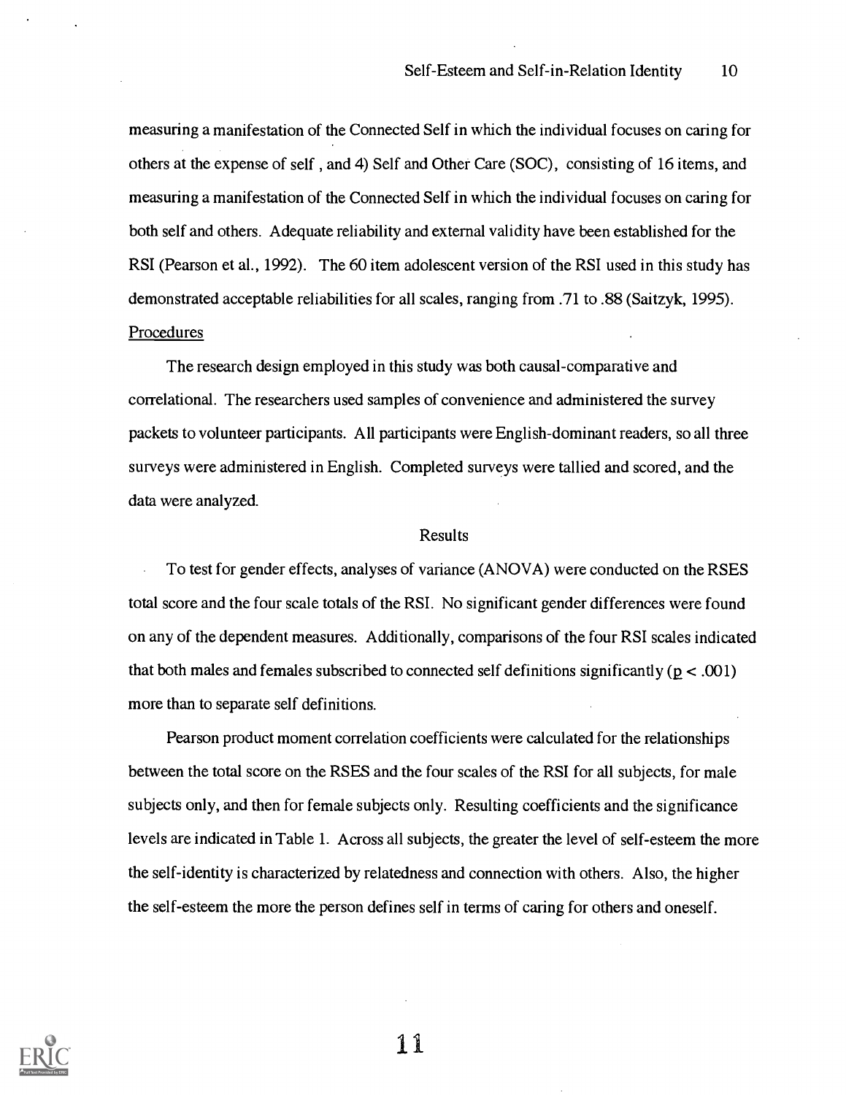measuring a manifestation of the Connected Self in which the individual focuses on caring for others at the expense of self, and 4) Self and Other Care (SOC), consisting of 16 items, and measuring a manifestation of the Connected Self in which the individual focuses on caring for both self and others. Adequate reliability and external validity have been established for the RSI (Pearson et al., 1992). The 60 item adolescent version of the RSI used in this study has demonstrated acceptable reliabilities for all scales, ranging from .71 to .88 (Saitzyk, 1995). Procedures

## The research design employed in this study was both causal-comparative and correlational. The researchers used samples of convenience and administered the survey packets to volunteer participants. All participants were English-dominant readers, so all three surveys were administered in English. Completed surveys were tallied and scored, and the data were analyzed.

#### Results

To test for gender effects, analyses of variance (ANOVA) were conducted on the RSES total score and the four scale totals of the RSI. No significant gender differences were found on any of the dependent measures. Additionally, comparisons of the four RSI scales indicated that both males and females subscribed to connected self definitions significantly ( $p < .001$ ) more than to separate self definitions.

Pearson product moment correlation coefficients were calculated for the relationships between the total score on the RSES and the four scales of the RSI for all subjects, for male subjects only, and then for female subjects only. Resulting coefficients and the significance levels are indicated in Table 1. Across all subjects, the greater the level of self-esteem the more the self-identity is characterized by relatedness and connection with others. Also, the higher the self-esteem the more the person defines self in terms of caring for others and oneself.

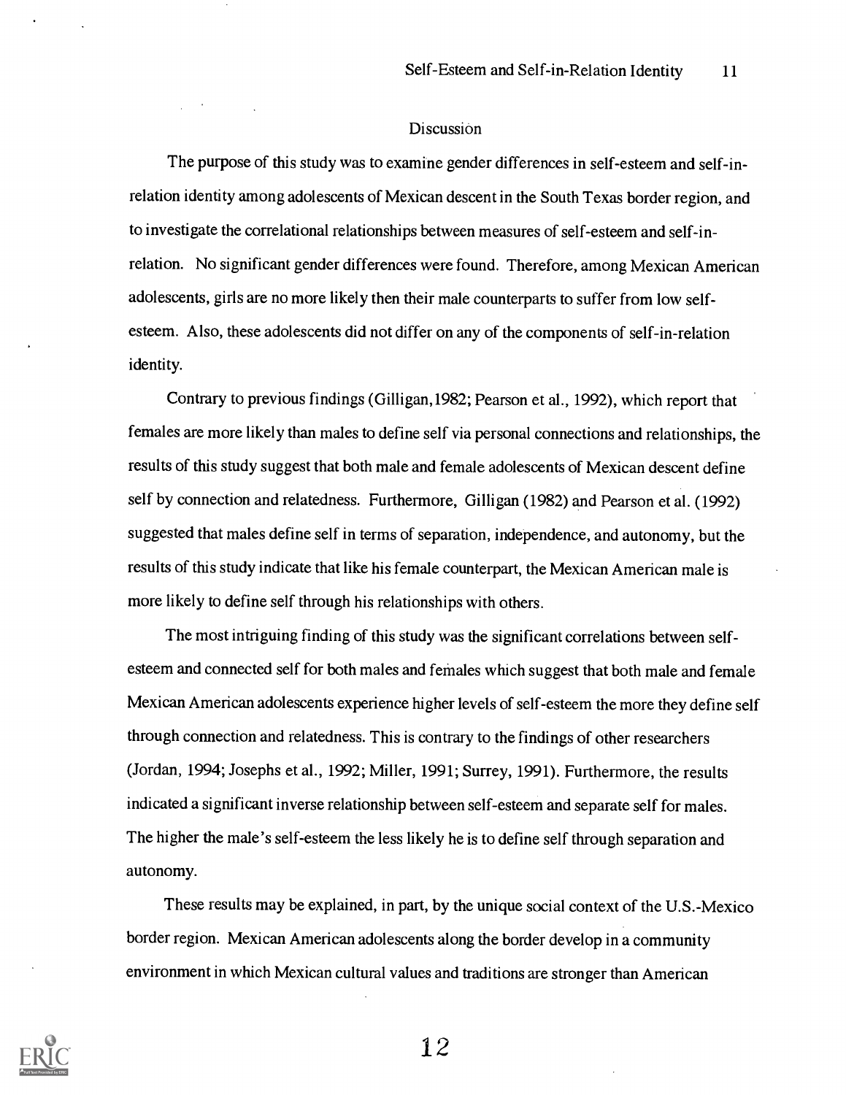#### Discussion

The purpose of this study was to examine gender differences in self-esteem and self-inrelation identity among adolescents of Mexican descent in the South Texas border region, and to investigate the correlational relationships between measures of self-esteem and self-inrelation. No significant gender differences were found. Therefore, among Mexican American adolescents, girls are no more likely then their male counterparts to suffer from low selfesteem. Also, these adolescents did not differ on any of the components of self-in-relation identity.

Contrary to previous findings (Gilligan,1982; Pearson et al., 1992), which report that females are more likely than males to define self via personal connections and relationships, the results of this study suggest that both male and female adolescents of Mexican descent define self by connection and relatedness. Furthermore, Gilligan (1982) and Pearson et al. (1992) suggested that males define self in terms of separation, independence, and autonomy, but the results of this study indicate that like his female counterpart, the Mexican American male is more likely to define self through his relationships with others.

The most intriguing finding of this study was the significant correlations between selfesteem and connected self for both males and females which suggest that both male and female Mexican American adolescents experience higher levels of self-esteem the more they define self through connection and relatedness. This is contrary to the findings of other researchers (Jordan, 1994; Josephs et al., 1992; Miller, 1991; Surrey, 1991). Furthermore, the results indicated a significant inverse relationship between self-esteem and separate self for males. The higher the male's self-esteem the less likely he is to define self through separation and autonomy.

These results may be explained, in part, by the unique social context of the U.S.-Mexico border region. Mexican American adolescents along the border develop in a community environment in which Mexican cultural values and traditions are stronger than American

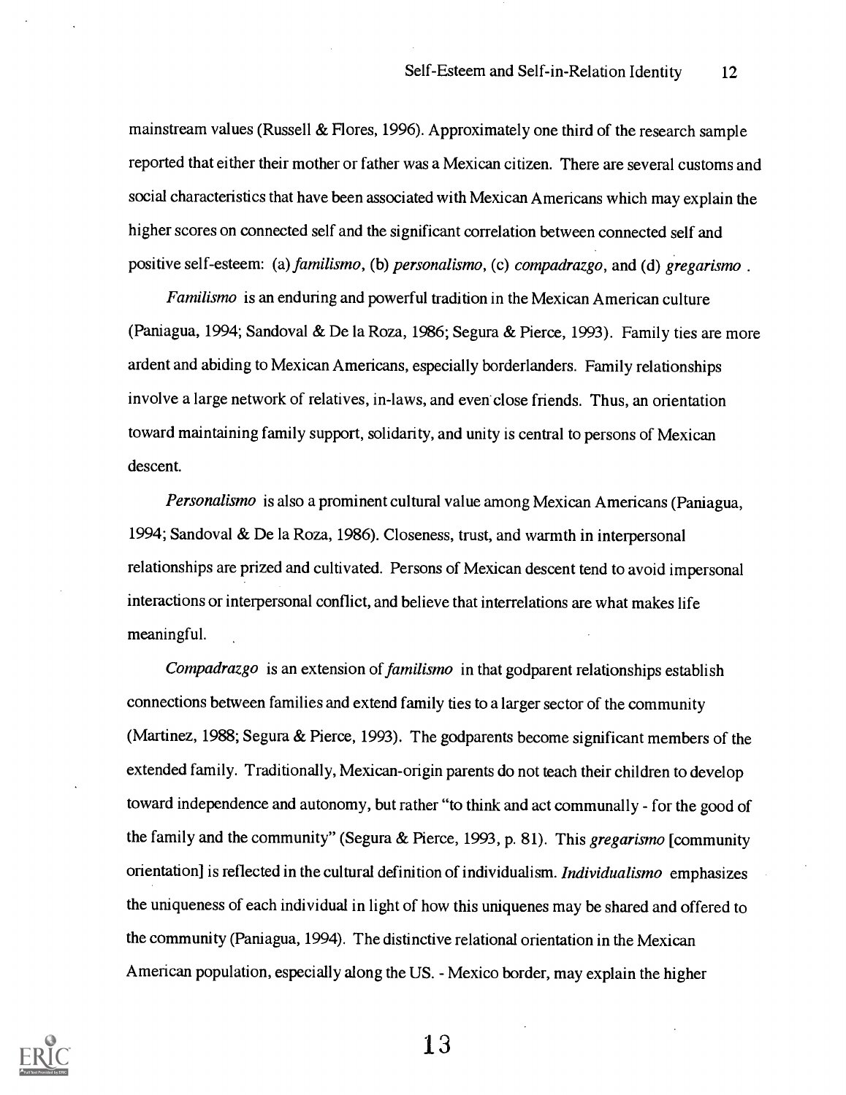mainstream values (Russell & Flores, 1996). Approximately one third of the research sample reported that either their mother or father was a Mexican citizen. There are several customs and social characteristics that have been associated with Mexican Americans which may explain the higher scores on connected self and the significant correlation between connected self and positive self-esteem: (a) familismo, (b) personalismo, (c) compadrazgo, and (d) gregarismo.

Familismo is an enduring and powerful tradition in the Mexican American culture (Paniagua, 1994; Sandoval & De la Roza, 1986; Segura & Pierce, 1993). Family ties are more ardent and abiding to Mexican Americans, especially borderlanders. Family relationships involve a large network of relatives, in-laws, and even close friends. Thus, an orientation toward maintaining family support, solidarity, and unity is central to persons of Mexican descent.

Personalismo is also a prominent cultural value among Mexican Americans (Paniagua, 1994; Sandoval & De la Roza, 1986). Closeness, trust, and warmth in interpersonal relationships are prized and cultivated. Persons of Mexican descent tend to avoid impersonal interactions or interpersonal conflict, and believe that interrelations are what makes life meaningful.

Compadrazgo is an extension of familismo in that godparent relationships establish connections between families and extend family ties to a larger sector of the community (Martinez, 1988; Segura & Pierce, 1993). The godparents become significant members of the extended family. Traditionally, Mexican-origin parents do not teach their children to develop toward independence and autonomy, but rather "to think and act communally - for the good of the family and the community" (Segura & Pierce, 1993, p. 81). This gregarismo [community orientation] is reflected in the cultural definition of individualism. Individualismo emphasizes the uniqueness of each individual in light of how this uniquenes may be shared and offered to the community (Paniagua, 1994). The distinctive relational orientation in the Mexican American population, especially along the US. - Mexico border, may explain the higher

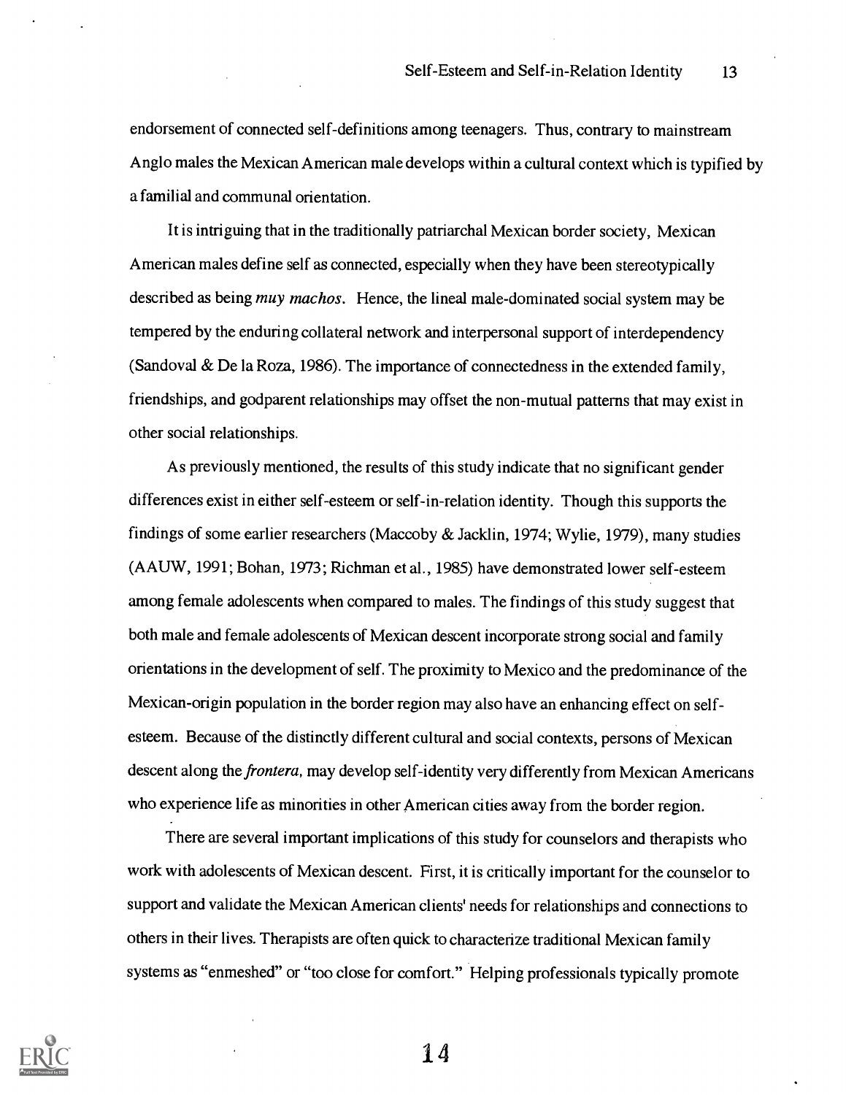endorsement of connected self-definitions among teenagers. Thus, contrary to mainstream Anglo males the Mexican American male develops within a cultural context which is typified by a familial and communal orientation.

It is intriguing that in the traditionally patriarchal Mexican border society, Mexican American males define self as connected, especially when they have been stereotypically described as being *muy machos*. Hence, the lineal male-dominated social system may be tempered by the enduring collateral network and interpersonal support of interdependency (Sandoval & De la Roza, 1986). The importance of connectedness in the extended family, friendships, and godparent relationships may offset the non-mutual patterns that may exist in other social relationships.

As previously mentioned, the results of this study indicate that no significant gender differences exist in either self-esteem or self-in-relation identity. Though this supports the findings of some earlier researchers (Maccoby & Jack lin, 1974; Wylie, 1979), many studies (AAUW, 1991; Bohan, 1973; Richman et al., 1985) have demonstrated lower self-esteem among female adolescents when compared to males. The findings of this study suggest that both male and female adolescents of Mexican descent incorporate strong social and family orientations in the development of self. The proximity to Mexico and the predominance of the Mexican-origin population in the border region may also have an enhancing effect on selfesteem. Because of the distinctly different cultural and social contexts, persons of Mexican descent along the frontera, may develop self-identity very differently from Mexican Americans who experience life as minorities in other American cities away from the border region.

There are several important implications of this study for counselors and therapists who work with adolescents of Mexican descent. First, it is critically important for the counselor to support and validate the Mexican American clients' needs for relationships and connections to others in their lives. Therapists are often quick to characterize traditional Mexican family systems as "enmeshed" or "too close for comfort." Helping professionals typically promote

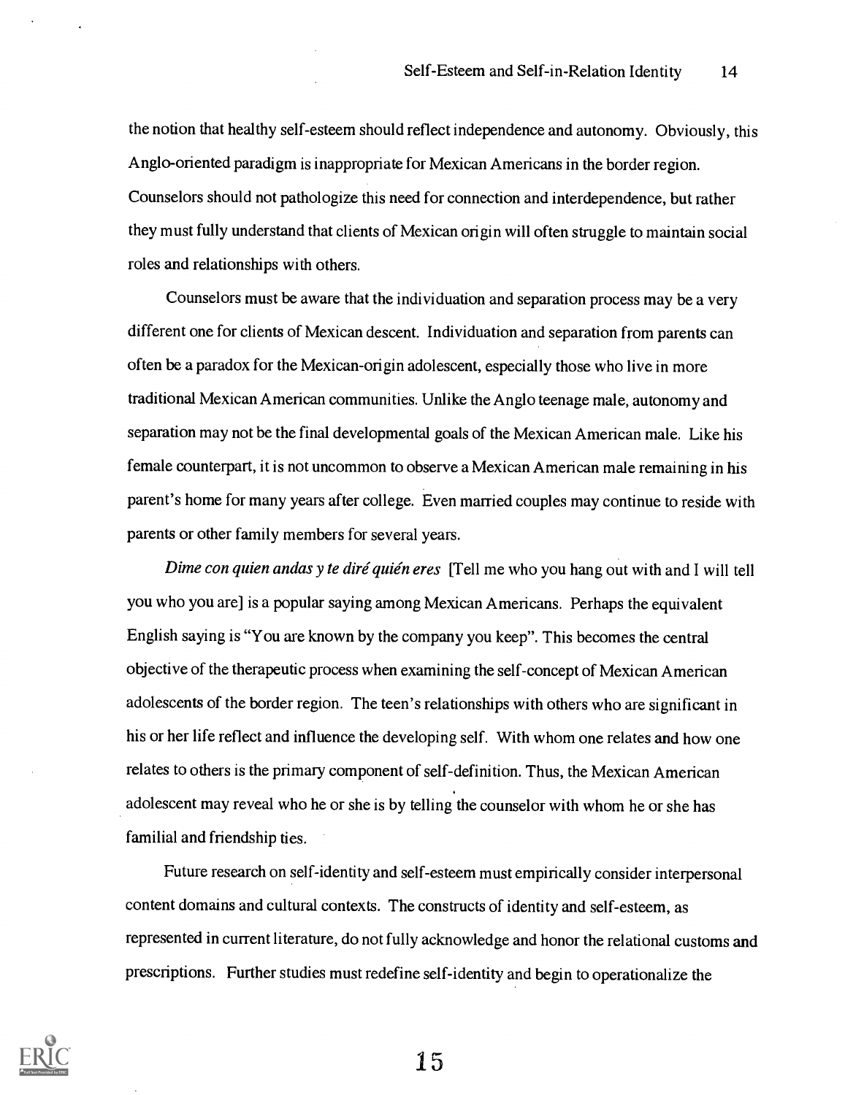the notion that healthy self-esteem should reflect independence and autonomy. Obviously, this Anglo-oriented paradigm is inappropriate for Mexican Americans in the border region. Counselors should not pathologize this need for connection and interdependence, but rather they must fully understand that clients of Mexican origin will often struggle to maintain social roles and relationships with others.

Counselors must be aware that the individuation and separation process may be a very different one for clients of Mexican descent. Individuation and separation from parents can often be a paradox for the Mexican-origin adolescent, especially those who live in more traditional Mexican American communities. Unlike the Anglo teenage male, autonomy and separation may not be the final developmental goals of the Mexican American male. Like his female counterpart, it is not uncommon to observe a Mexican American male remaining in his parent's home for many years after college. Even married couples may continue to reside with parents or other family members for several years.

Dime con quien andas y te diré quién eres [Tell me who you hang out with and I will tell you who you are] is a popular saying among Mexican Americans. Perhaps the equivalent English saying is "You are known by the company you keep". This becomes the central objective of the therapeutic process when examining the self-concept of Mexican American adolescents of the border region. The teen's relationships with others who are significant in his or her life reflect and influence the developing self. With whom one relates and how one relates to others is the primary component of self-definition. Thus, the Mexican American adolescent may reveal who he or she is by telling the counselor with whom he or she has familial and friendship ties.

Future research on self-identity and self-esteem must empirically consider interpersonal content domains and cultural contexts. The constructs of identity and self-esteem, as represented in current literature, do not fully acknowledge and honor the relational customs and prescriptions. Further studies must redefine self-identity and begin to operationalize the

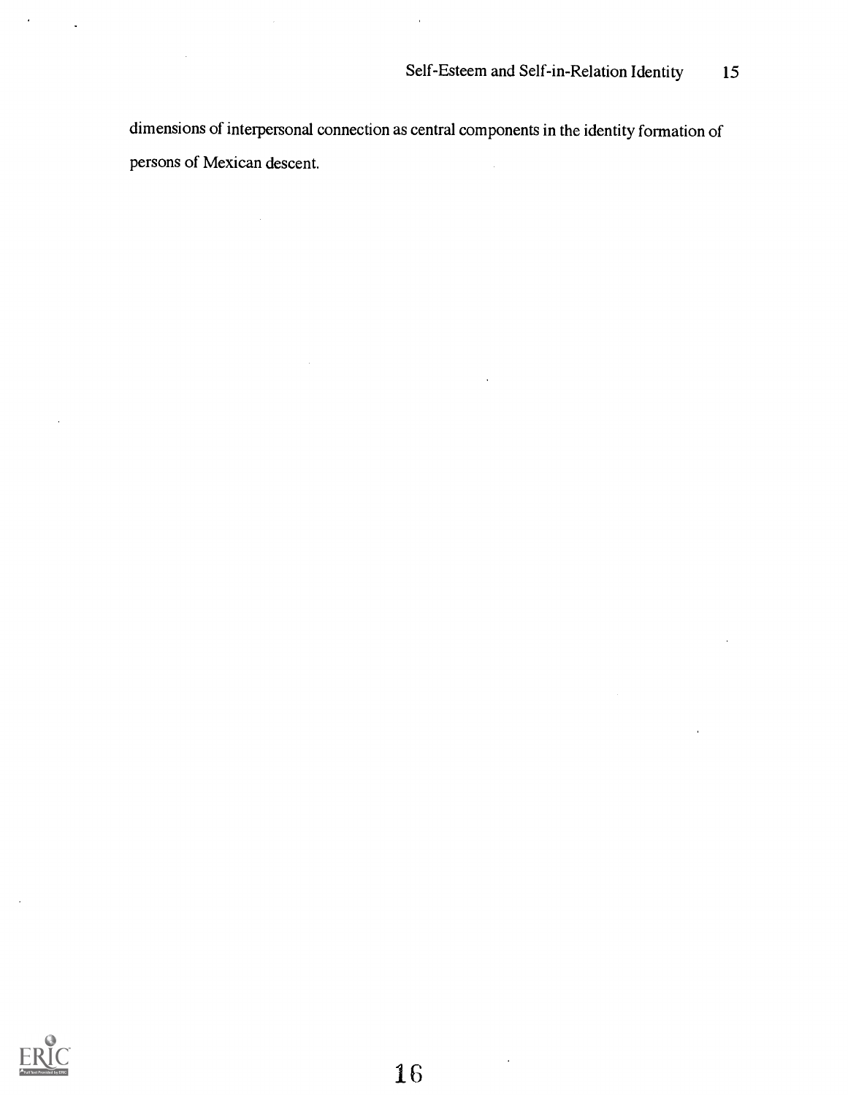dimensions of interpersonal connection as central components in the identity formation of persons of Mexican descent.



 $\hat{\mathbf{r}}$ 

 $\blacksquare$ 

 $\bar{ }$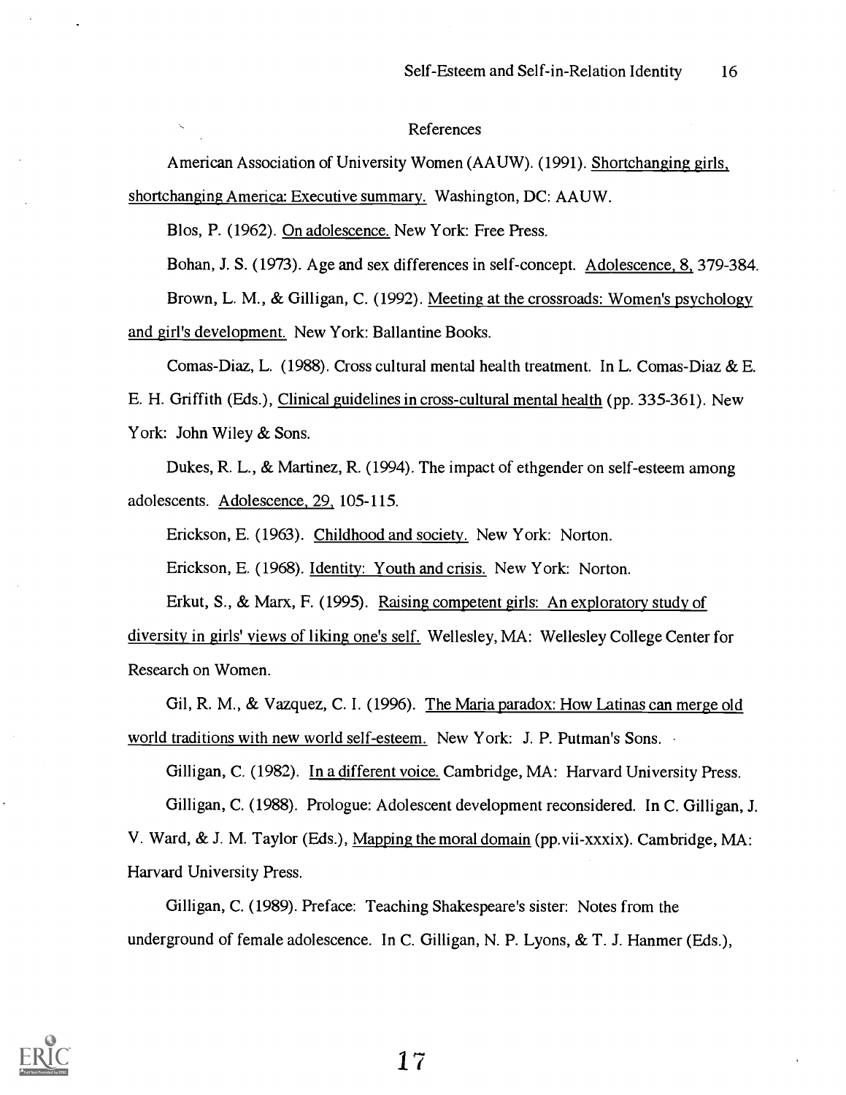#### References

American Association of University Women (AAUW). (1991). Shortchanging girls, shortchanging America: Executive summary. Washington, DC: AAUW.

Blos, P. (1962). On adolescence. New York: Free Press.

Bohan, J. S. (1973). Age and sex differences in self-concept. Adolescence, 8, 379-384.

Brown, L. M. , & Gilligan, C. (1992). Meeting at the crossroads: Women's psychology and girl's development. New York: Ballantine Books.

Comas-Diaz, L. (1988). Cross cultural mental health treatment. In L. Comas-Diaz & E. E. H. Griffith (Eds.), Clinical guidelines in cross-cultural mental health (pp. 335-361). New York: John Wiley & Sons.

Dukes, R. L., & Martinez, R. (1994). The impact of ethgender on self-esteem among adolescents. Adolescence, 29, 105-115.

Erickson, E. (1963). Childhood and society. New York: Norton.

Erickson, E. (1968). Identity: Youth and crisis. New York: Norton.

Erkut, S., & Marx, F. (1995). Raising competent girls: An exploratory study of diversity in girls' views of liking one's self. Wellesley, MA: Wellesley College Center for Research on Women.

Gil, R. M., & Vazquez, C. I. (1996). The Maria paradox: How Latinas can merge old world traditions with new world self-esteem. New York: J. P. Putman's Sons.

Gilligan, C. (1982). In a different voice. Cambridge, MA: Harvard University Press.

Gilligan, C. (1988). Prologue: Adolescent development reconsidered. In C. Gilligan, J.

V. Ward, & J. M. Taylor (Eds.), Mapping the moral domain (pp.vii-xxxix). Cambridge, MA: Harvard University Press.

Gilligan, C. (1989). Preface: Teaching Shakespeare's sister: Notes from the underground of female adolescence. In C. Gilligan, N. P. Lyons, & T. J. Hanmer (Eds.),

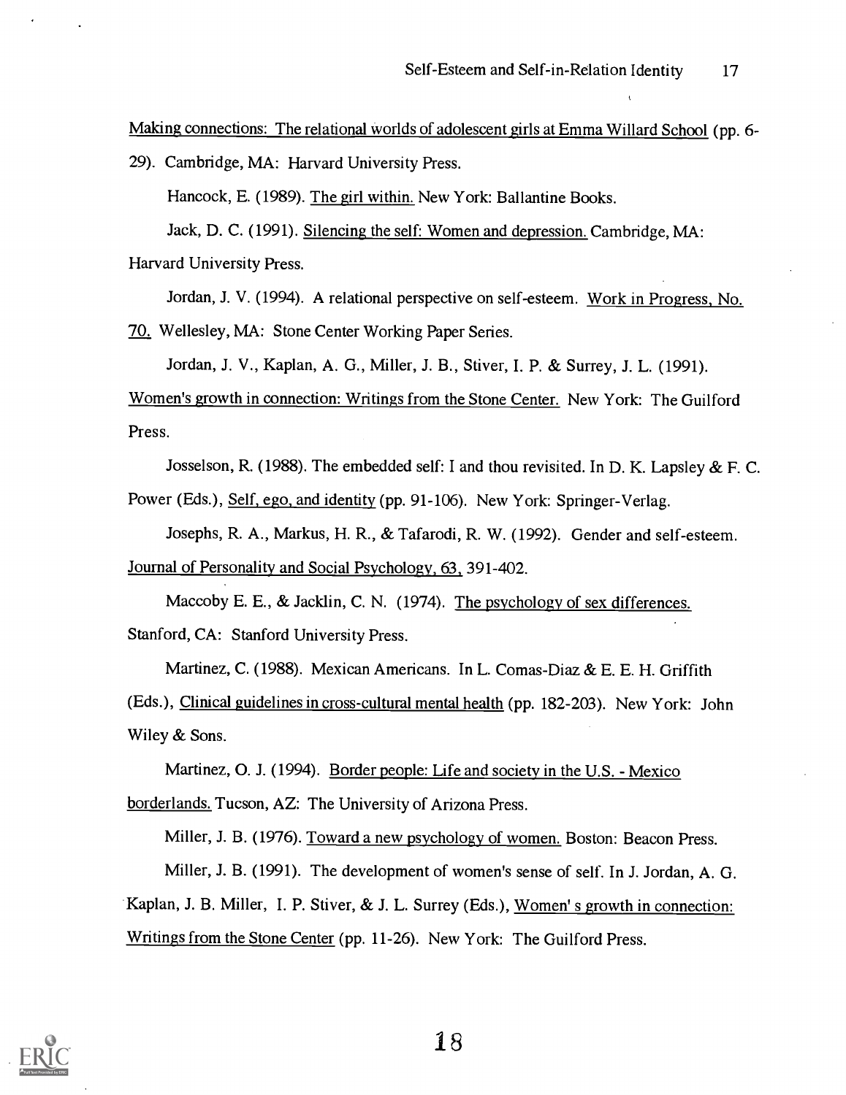Making connections: The relational worlds of adolescent girls at Emma Willard School (pp. 6-

29). Cambridge, MA: Harvard University Press.

Hancock, E. (1989). The girl within. New York: Ballantine Books.

Jack, D. C. (1991). Silencing the self: Women and depression. Cambridge, MA: Harvard University Press.

Jordan, J. V. (1994). A relational perspective on self-esteem. Work in Progress, No.

70. Wellesley, MA: Stone Center Working Paper Series.

Jordan, J. V., Kaplan, A. G., Miller, J. B., Stiver, I. P. & Surrey, J. L. (1991).

Women's growth in connection: Writings from the Stone Center. New York: The Guilford Press.

Josselson, R. (1988). The embedded self: I and thou revisited. In D. K. Lapsley  $\& F. C.$ 

Power (Eds.), Self, ego, and identity (pp. 91-106). New York: Springer-Verlag.

Josephs, R. A., Markus, H. R., & Tafarodi, R. W. (1992). Gender and self-esteem.

Journal of Personality and Social Psychology, 63, 391-402.

Maccoby E. E.,  $&$  Jacklin, C. N. (1974). The psychology of sex differences. Stanford, CA: Stanford University Press.

Martinez, C. (1988). Mexican Americans. In L. Comas-Diaz & E. E. H. Griffith (Eds.), Clinical guidelines in cross-cultural mental health (pp. 182-203). New York: John Wiley & Sons.

Martinez, 0. J. (1994). Border people: Life and society in the U.S. - Mexico borderlands. Tucson, AZ: The University of Arizona Press.

Miller, J. B. (1976). Toward a new psychology of women. Boston: Beacon Press.

Miller, J. B. (1991). The development of women's sense of self. In J. Jordan, A. G. Kaplan, J. B. Miller, I. P. Stiver, & J. L. Surrey (Eds.), Women' s growth in connection: Writings from the Stone Center (pp. 11-26). New York: The Guilford Press.

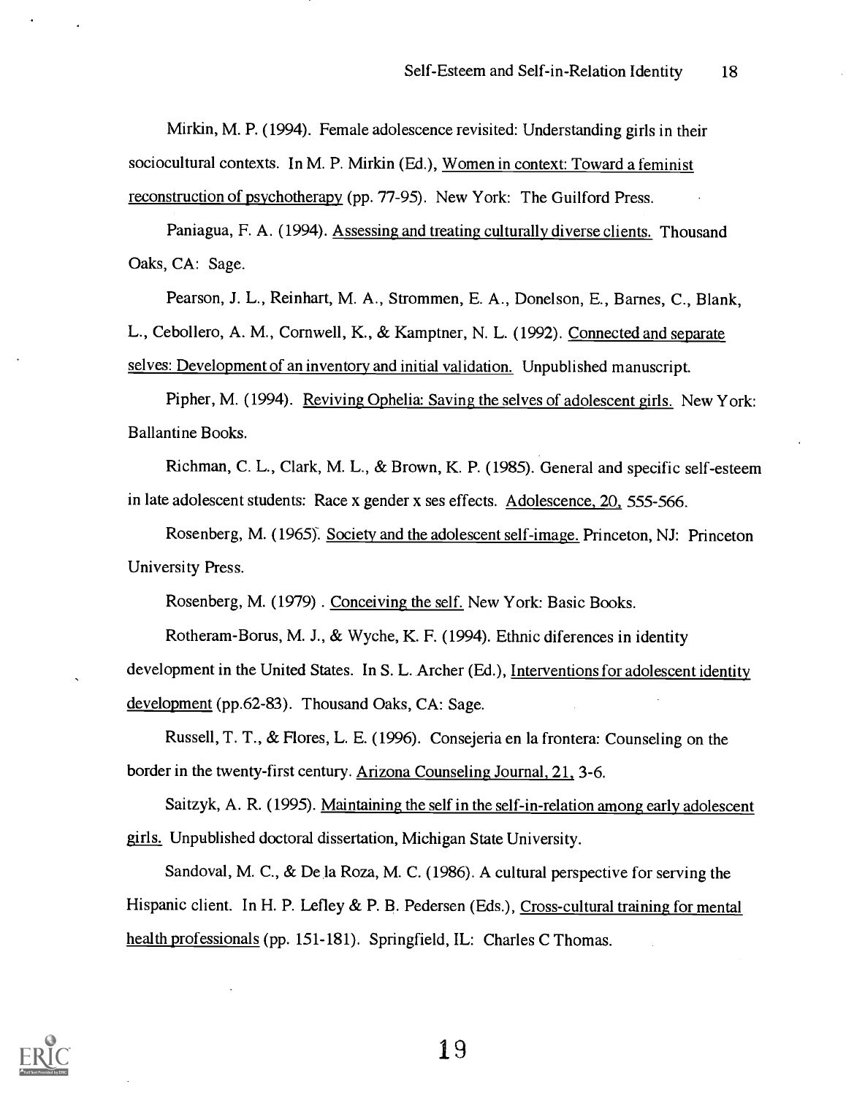Mirkin, M. P. (1994). Female adolescence revisited: Understanding girls in their sociocultural contexts. In M. P. Mirkin (Ed.), Women in context: Toward a feminist reconstruction of psychotherapy (pp. 77-95). New York: The Guilford Press.

Paniagua, F. A. (1994). Assessing and treating culturally diverse clients. Thousand Oaks, CA: Sage.

Pearson, J. L., Reinhart, M. A., Strommen, E. A., Donelson, E., Barnes, C., Blank,

L., Cebollero, A. M., Cornwell, K., & Kamptner, N. L. (1992). Connected and separate selves: Development of an inventory and initial validation. Unpublished manuscript.

Pipher, M. (1994). Reviving Ophelia: Saving the selves of adolescent girls. New York: Ballantine Books.

Richman, C. L., Clark, M. L., & Brown, K. P. (1985). General and specific self-esteem in late adolescent students: Race x gender x ses effects. Adolescence, 20, 555-566.

Rosenberg, M. (1965): Society and the adolescent self-image. Princeton, NJ: Princeton University Press.

Rosenberg, M. (1979) . Conceiving the self. New York: Basic Books.

Rotheram-Borus, M. J., & Wyche, K. F. (1994). Ethnic diferences in identity

development in the United States. In S. L. Archer (Ed.), Interventions for adolescent identity development (pp.62-83). Thousand Oaks, CA: Sage.

Russell, T. T., & Flores, L. E. (1996). Consejeria en la frontera: Counseling on the border in the twenty-first century. Arizona Counseling Journal, 21, 3-6.

Saitzyk, A. R. (1995). Maintaining the self in the self-in-relation among early adolescent girls. Unpublished doctoral dissertation, Michigan State University.

Sandoval, M. C., & De la Roza, M. C. (1986). A cultural perspective for serving the Hispanic client. In H. P. Lefley & P. B. Pedersen (Eds.), Cross-cultural training for mental health professionals (pp. 151-181). Springfield, IL: Charles C Thomas.

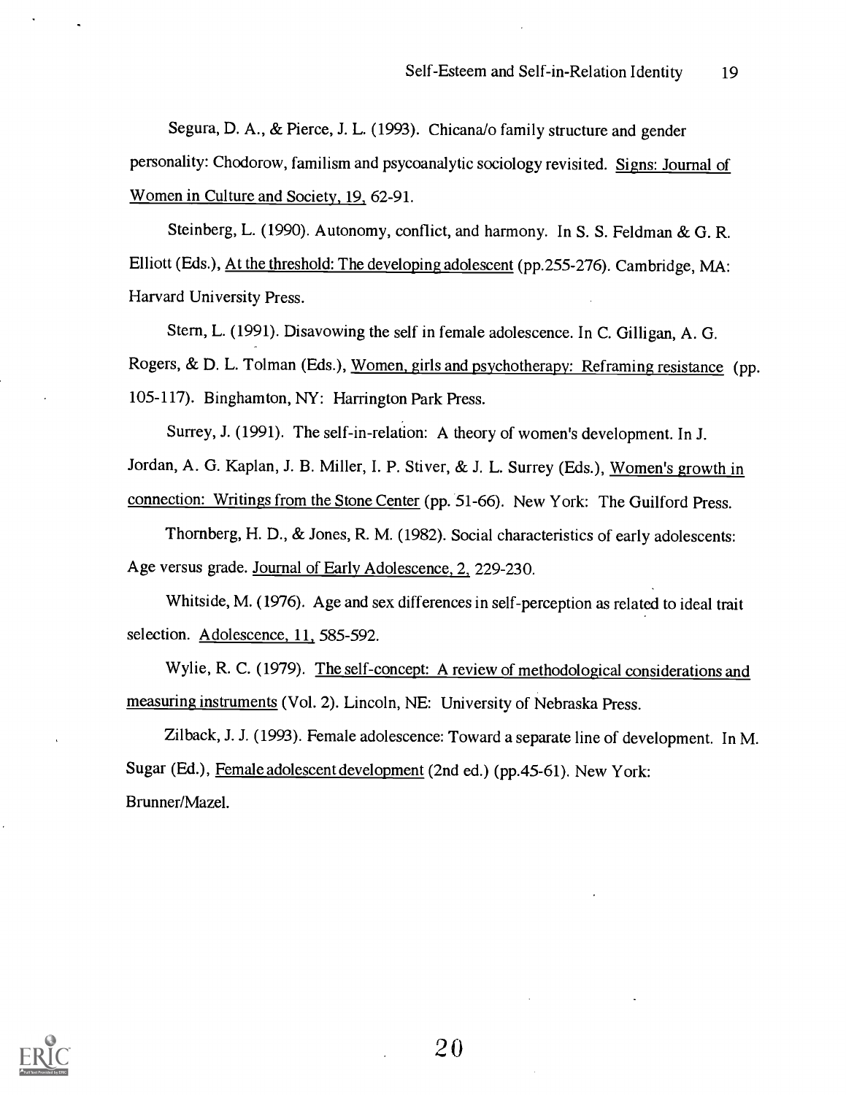Segura, D. A., & Pierce, J. L. (1993). Chicana/o family structure and gender personality: Chodorow, familism and psycoanalytic sociology revisited. Signs: Journal of Women in Culture and Society, 19, 62-91.

Steinberg, L. (1990). Autonomy, conflict, and harmony. In S. S. Feldman & G. R. Elliott (Eds.), At the threshold: The developing adolescent (pp.255-276). Cambridge, MA: Harvard University Press.

Stern, L. (1991). Disavowing the self in female adolescence. In C. Gilligan, A. G. Rogers, & D. L. Tolman (Eds.), Women, girls and psychotherapy: Reframing resistance (pp. 105-117). Binghamton, NY: Harrington Park Press.

Surrey, J. (1991). The self-in-relation: A theory of women's development. In J.

Jordan, A. G. Kaplan, J. B. Miller, I. P. Stiver, & J. L. Surrey (Eds.), Women's growth in connection: Writings from the Stone Center (pp. 51-66). New York: The Guilford Press.

Thornberg, H. D., & Jones, R. M. (1982). Social characteristics of early adolescents: Age versus grade. Journal of Early Adolescence, 2, 229-230.

Whitside, M. (1976). Age and sex differences in self-perception as related to ideal trait selection. Adolescence, 11, 585-592.

Wylie, R. C. (1979). The self-concept: A review of methodological considerations and measuring instruments (Vol. 2). Lincoln, NE: University of Nebraska Press.

Zilback, J. J. (1993). Female adolescence: Toward a separate line of development. In M. Sugar (Ed.), Female adolescent development (2nd ed.) (pp. 45-61). New York: Brunner/Mazel.

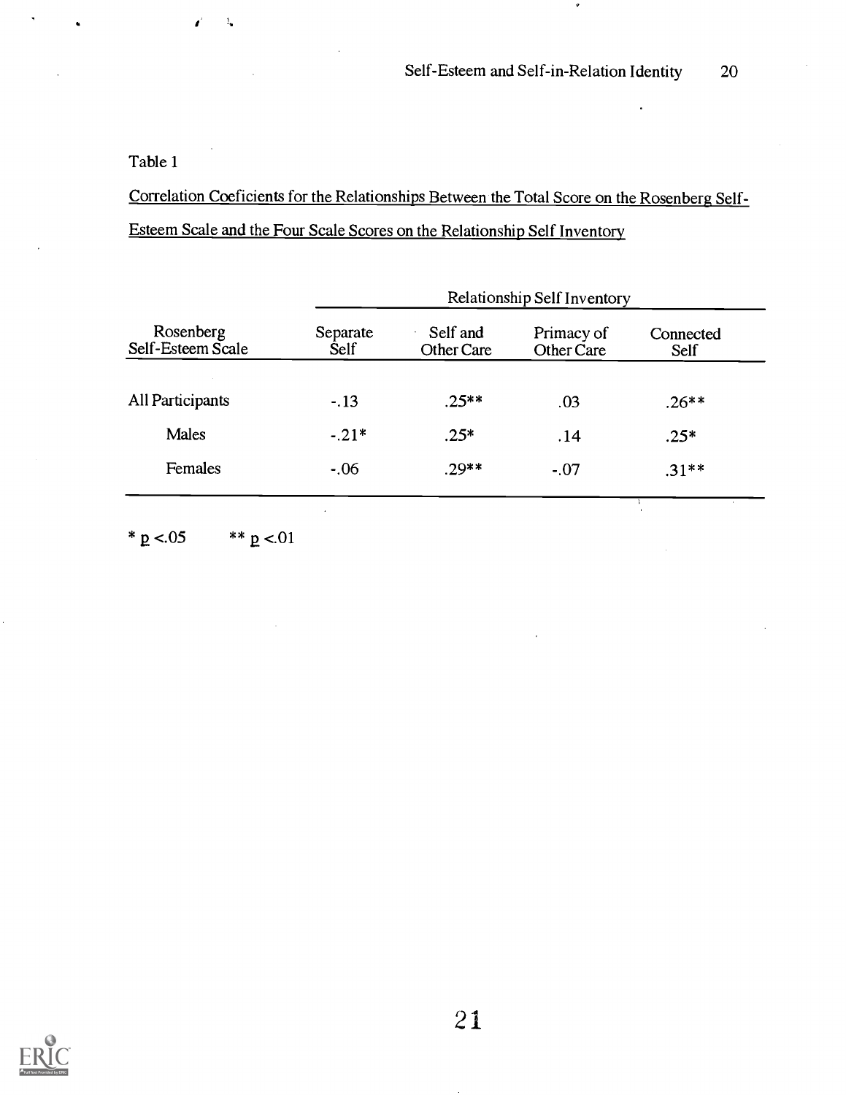## Table 1

 $\mathcal{V}_\bullet$ 

Correlation Coeficients for the Relationships Between the Total Score on the Rosenberg Self-Esteem Scale and the Four Scale Scores on the Relationship Self Inventory

|                                | Relationship Self Inventory |                        |                          |                   |  |  |
|--------------------------------|-----------------------------|------------------------|--------------------------|-------------------|--|--|
| Rosenberg<br>Self-Esteem Scale | Separate<br><b>Self</b>     | Self and<br>Other Care | Primacy of<br>Other Care | Connected<br>Self |  |  |
| All Participants               | $-.13$                      | $.25**$                | .03                      | $.26**$           |  |  |
| <b>Males</b>                   | $-.21*$                     | $.25*$                 | .14                      | $.25*$            |  |  |
| Females                        | $-.06$                      | .29**                  | $-.07$                   | $.31**$           |  |  |
|                                |                             |                        |                          |                   |  |  |

\*  $p < 05$  \*\*  $p < 01$